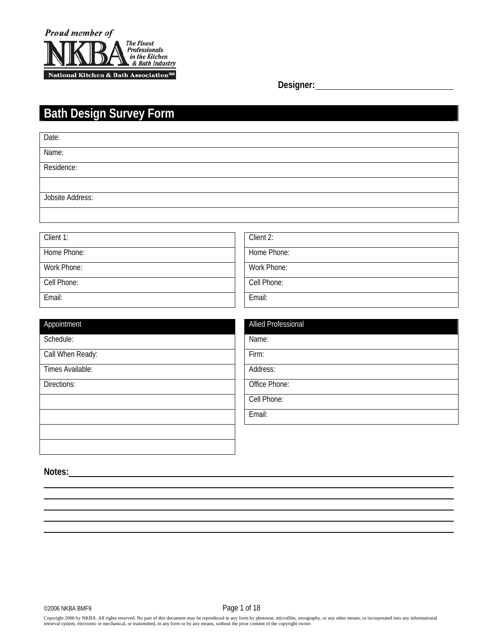

**Designer:**

# **Bath Design Survey Form**

| Date:                   |                     |
|-------------------------|---------------------|
| Name:                   |                     |
| Residence:              |                     |
|                         |                     |
| <b>Jobsite Address:</b> |                     |
|                         |                     |
| Client 1:               | Client 2:           |
|                         |                     |
| Home Phone:             | Home Phone:         |
| Work Phone:             | Work Phone:         |
| Cell Phone:             | Cell Phone:         |
| Email:                  | Email:              |
|                         |                     |
| Appointment             | Allied Professional |
| Schedule:               | Name:               |
| Call When Ready:        | Firm:               |
| Times Available:        | Address:            |
| Directions:             | Office Phone:       |
|                         | Cell Phone:         |
|                         | Email:              |
|                         |                     |
|                         |                     |
|                         |                     |

Notes:

 $\overline{a}$  $\overline{a}$ l,  $\overline{a}$  $\overline{a}$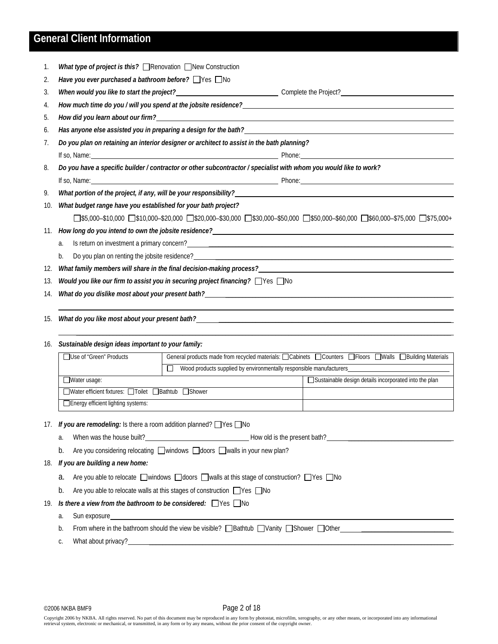### **General Client Information**

| 1.  | What type of project is this? $\Box$ Renovation $\Box$ New Construction                                                                                                                                                                                                                               |  |
|-----|-------------------------------------------------------------------------------------------------------------------------------------------------------------------------------------------------------------------------------------------------------------------------------------------------------|--|
| 2.  | Have you ever purchased a bathroom before? $\Box$ Yes $\Box$ No                                                                                                                                                                                                                                       |  |
| 3.  |                                                                                                                                                                                                                                                                                                       |  |
| 4.  |                                                                                                                                                                                                                                                                                                       |  |
| 5.  |                                                                                                                                                                                                                                                                                                       |  |
| 6.  | Has anyone else assisted you in preparing a design for the bath? The manufactured and the state of the state of                                                                                                                                                                                       |  |
| 7.  | Do you plan on retaining an interior designer or architect to assist in the bath planning?                                                                                                                                                                                                            |  |
|     | If so, Name: <b>Name:</b> Phone: <b>Phone:</b> Phone: <b>Phone:</b> Phone: <b>Phone:</b> Phone: <b>Phone:</b> Phone: <b>Phone:</b> Phone: <b>Phone:</b> Phone: <b>Phone:</b> Phone: <b>Phone:</b> Phone: <b>Phone:</b> Phone: <b>Phone:</b> Phone: <b>Phone:</b> Phone: <b>Phone:</b> Phone: <b>P</b> |  |
| 8.  | Do you have a specific builder / contractor or other subcontractor / specialist with whom you would like to work?                                                                                                                                                                                     |  |
|     | If so, Name: <u>All and Solid Annual Community of the Phone:</u> Phone: Phone: Phone: All and Solid Annual Community of the All and Solid Annual Community of the All and Solid Annual Community of the All and Solid Annual Commun                                                                   |  |
| 9.  | What portion of the project, if any, will be your responsibility? Network and the state of the project of the state of the state of the state of the state of the state of the state of the state of the state of the state of                                                                        |  |
| 10. | What budget range have you established for your bath project?                                                                                                                                                                                                                                         |  |
|     | $\square$ \$5,000–\$10,000 $\square$ \$10,000–\$20,000 $\square$ \$20,000–\$30,000 $\square$ \$30,000–\$50,000 $\square$ \$50,000–\$0,000 $\square$ \$75,000 $\square$ \$75,000+                                                                                                                      |  |
| 11. |                                                                                                                                                                                                                                                                                                       |  |
|     | Is return on investment a primary concern?<br><u> and the contract of the contract of the contract of the contract of the contract of the contract of the contract of the contract of the contract of the contract of the contract</u><br>a.                                                          |  |
|     | Do you plan on renting the jobsite residence?<br>The management of the state of the state of the state of the state of the state of the state of the state of the state of the state of the state of the state of the state of t<br>b.                                                                |  |
| 12. |                                                                                                                                                                                                                                                                                                       |  |
| 13. | Would you like our firm to assist you in securing project financing? Ves ONo                                                                                                                                                                                                                          |  |
| 14. |                                                                                                                                                                                                                                                                                                       |  |
|     |                                                                                                                                                                                                                                                                                                       |  |
| 15. | What do you like most about your present bath?___________________________________                                                                                                                                                                                                                     |  |
|     |                                                                                                                                                                                                                                                                                                       |  |

#### 16. *Sustainable design ideas important to your family:*

| □ Use of "Green" Products                           | General products made from recycled materials: $\Box$ Cabinets $\Box$ Counters $\Box$ Floors $\Box$ Walls $\Box$ Building Materials |                                                       |  |  |  |  |  |  |
|-----------------------------------------------------|-------------------------------------------------------------------------------------------------------------------------------------|-------------------------------------------------------|--|--|--|--|--|--|
|                                                     | Wood products supplied by environmentally responsible manufacturers                                                                 |                                                       |  |  |  |  |  |  |
| $\Box$ Water usage:                                 |                                                                                                                                     | Sustainable design details incorporated into the plan |  |  |  |  |  |  |
| □Water efficient fixtures: □Toilet □Bathtub □Shower |                                                                                                                                     |                                                       |  |  |  |  |  |  |
| □ Energy efficient lighting systems:                |                                                                                                                                     |                                                       |  |  |  |  |  |  |

#### 17. *If you are remodeling:* Is there a room addition planned? **No**

- a. When was the house built? Moreover the state of How old is the present bath?
- b. Are you considering relocating windows doors Walls in your new plan?

#### 18. *If you are building a new home:*

- a. Are you able to relocate windows  $\Box$ doors  $\Box$  walls at this stage of construction?  $\Box$  Yes  $\Box$  No
- b. Are you able to relocate walls at this stages of construction  $\Box$  Yes  $\Box$  No

#### 19. *Is there a view from the bathroom to be considered:*  $\Box$ Yes  $\Box$ No

- a. Sun exposure
- b. From where in the bathroom should the view be visible?  $\Box$  Bathtub  $\Box$  Vanity  $\Box$  Shower  $\Box$  Other
- c. What about privacy?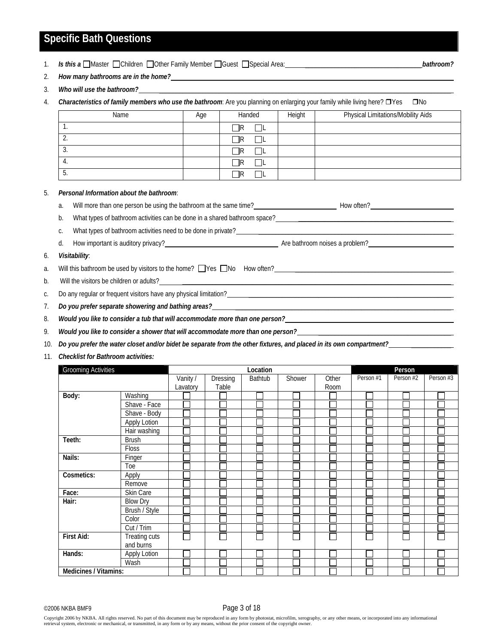### **Specific Bath Questions**

1. *Is this a* Master Children Clother Family Member Guest Special Area: **Example 2018** *bathroom?* 

- 2. *How many bathrooms are in the home?*
- 3. Who will use the bathroom?

4. *Characteristics of family members who use the bathroom*: Are you planning on enlarging your family while living here? **O**No

| Name | Age | Handed | Height | Physical Limitations/Mobility Aids |
|------|-----|--------|--------|------------------------------------|
| . .  |     | -IR    |        |                                    |
| ، ے  |     | -IR    |        |                                    |
| . ა. |     | -IR    |        |                                    |
| 4.   |     | -IR    |        |                                    |
| . ب  |     |        |        |                                    |

#### 5. *Personal Information about the bathroom*:

a. Will more than one person be using the bathroom at the same time?<br>
How often?<br>
How often?

b. What types of bathroom activities can be done in a shared bathroom space? \_\_\_\_\_\_\_\_\_\_

c. What types of bathroom activities need to be done in private?

d. How important is auditory privacy? The state of the bathroom noises a problem?

#### 6. *Visitability*:

- a. Will this bathroom be used by visitors to the home? Nes No How often?
- b. Will the visitors be children or adults?

c. Do any regular or frequent visitors have any physical limitation?

7. *Do you prefer separate showering and bathing areas?* 

8. *Would you like to consider a tub that will accommodate more than one person?* 

9. *Would you like to consider a shower that will accommodate more than one person?\_\_\_\_\_\_\_\_\_\_\_\_\_\_\_\_\_\_\_\_\_\_\_\_\_\_\_\_\_\_\_\_\_* 

- 10. *Do you prefer the water closet and/or bidet be separate from the other fixtures, and placed in its own compartment?* \_\_\_\_\_\_\_\_\_\_\_\_
- 11. *Checklist for Bathroom activities:*

| <b>Grooming Activities</b> |                 |          | Location |         | Person |       |           |           |           |
|----------------------------|-----------------|----------|----------|---------|--------|-------|-----------|-----------|-----------|
|                            |                 | Vanity / | Dressing | Bathtub | Shower | Other | Person #1 | Person #2 | Person #3 |
|                            |                 | Lavatory | Table    |         |        | Room  |           |           |           |
| Body:                      | Washing         |          |          |         |        |       |           |           |           |
|                            | Shave - Face    |          |          |         |        |       |           |           |           |
|                            | Shave - Body    |          |          |         |        |       |           |           |           |
|                            | Apply Lotion    |          |          |         |        |       |           |           |           |
|                            | Hair washing    |          |          |         |        |       |           |           |           |
| Teeth:                     | <b>Brush</b>    |          |          |         |        |       |           |           |           |
|                            | <b>Floss</b>    |          |          |         |        |       |           |           |           |
| Nails:                     | Finger          |          |          |         |        |       |           |           |           |
|                            | Toe             |          |          |         |        |       |           |           |           |
| Cosmetics:                 | Apply           |          |          |         |        |       |           |           |           |
|                            | Remove          |          |          |         |        |       |           |           |           |
| Face:                      | Skin Care       |          |          |         |        |       |           |           |           |
| Hair:                      | <b>Blow Dry</b> |          |          |         |        |       |           |           |           |
|                            | Brush / Style   |          |          |         |        |       |           |           |           |
|                            | Color           |          |          |         |        |       |           |           |           |
|                            | Cut / Trim      |          |          |         |        |       |           |           |           |
| First Aid:                 | Treating cuts   |          |          |         |        |       |           |           |           |
|                            | and burns       |          |          |         |        |       |           |           |           |
| Hands:                     | Apply Lotion    |          |          |         |        |       |           |           |           |
|                            | Wash            |          |          |         |        |       |           |           |           |
| Medicines / Vitamins:      |                 |          |          |         |        |       |           |           |           |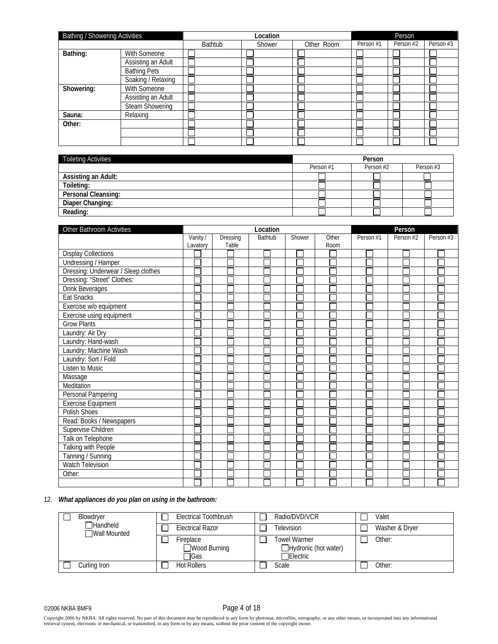| <b>Bathing / Showering Activities</b> |                        |         | Location | Person     |           |           |           |
|---------------------------------------|------------------------|---------|----------|------------|-----------|-----------|-----------|
|                                       |                        | Bathtub | Shower   | Other Room | Person #1 | Person #2 | Person #3 |
| Bathing:                              | With Someone           |         |          |            |           |           |           |
|                                       | Assisting an Adult     |         |          |            |           |           |           |
|                                       | <b>Bathing Pets</b>    |         |          |            |           |           |           |
|                                       | Soaking / Relaxing     |         |          |            |           |           |           |
| Showering:                            | With Someone           |         |          |            |           |           |           |
|                                       | Assisting an Adult     |         |          |            |           |           |           |
|                                       | <b>Steam Showering</b> |         |          |            |           |           |           |
| Sauna:                                | Relaxing               |         |          |            |           |           |           |
| Other:                                |                        |         |          |            |           |           |           |
|                                       |                        |         |          |            |           |           |           |
|                                       |                        |         |          |            |           |           |           |

| Toileting Activities | Person    |           |           |  |
|----------------------|-----------|-----------|-----------|--|
|                      | Person #1 | Person #2 | Person #3 |  |
| Assisting an Adult:  |           |           |           |  |
| Toileting:           |           |           |           |  |
| Personal Cleansing:  |           |           |           |  |
| Diaper Changing:     |           |           |           |  |
| Reading:             |           |           |           |  |

| Other Bathroom Activities           |          |          | Location       | Person |       |           |           |           |
|-------------------------------------|----------|----------|----------------|--------|-------|-----------|-----------|-----------|
|                                     | Vanity / | Dressing | <b>Bathtub</b> | Shower | Other | Person #1 | Person #2 | Person #3 |
|                                     | Lavatory | Table    |                |        | Room  |           |           |           |
| <b>Display Collections</b>          |          |          |                |        |       |           |           |           |
| <b>Undressing / Hamper</b>          |          |          |                |        |       |           |           |           |
| Dressing: Underwear / Sleep clothes |          |          |                |        |       |           |           |           |
| Dressing: "Street" Clothes:         |          |          |                |        |       |           |           |           |
| <b>Drink Beverages</b>              |          |          |                |        |       |           |           |           |
| Eat Snacks                          |          |          |                |        |       |           |           |           |
| Exercise w/o equipment              |          |          |                |        |       |           |           |           |
| Exercise using equipment            |          |          |                |        |       |           |           |           |
| <b>Grow Plants</b>                  |          |          |                |        |       |           |           |           |
| Laundry: Air Dry                    |          |          |                |        |       |           |           |           |
| Laundry: Hand-wash                  |          |          |                |        |       |           |           |           |
| Laundry: Machine Wash               |          |          |                |        |       |           |           |           |
| Laundry: Sort / Fold                |          |          |                |        |       |           |           |           |
| Listen to Music                     |          |          |                |        |       |           |           |           |
| Massage                             |          |          |                |        |       |           |           |           |
| Meditation                          |          |          |                |        |       |           |           |           |
| Personal Pampering                  |          |          |                |        |       |           |           |           |
| <b>Exercise Equipment</b>           |          |          |                |        |       |           |           |           |
| Polish Shoes                        |          |          |                |        |       |           |           |           |
| Read: Books / Newspapers            |          |          |                |        |       |           |           |           |
| Supervise Children                  |          |          |                |        |       |           |           |           |
| Talk on Telephone                   |          |          |                |        |       |           |           |           |
| <b>Talking with People</b>          |          |          |                |        |       |           |           |           |
| Tanning / Sunning                   |          |          |                |        |       |           |           |           |
| <b>Watch Television</b>             |          |          |                |        |       |           |           |           |
| Other:                              |          |          |                |        |       |           |           |           |
|                                     |          |          |                |        |       |           |           |           |

#### 12. *What appliances do you plan on using in the bathroom:*

| Blowdryer                       | Electrical Toothbrush             | Radio/DVD/VCR                                                   | Valet          |
|---------------------------------|-----------------------------------|-----------------------------------------------------------------|----------------|
| Handheld<br><b>Wall Mounted</b> | <b>Electrical Razor</b>           | Television                                                      | Washer & Dryer |
|                                 | Fireplace<br>Wood Burning<br>∃Gas | <b>Towel Warmer</b><br>Hydronic (hot water)<br><b>TElectric</b> | Other:         |
| Curling Iron                    | <b>Hot Rollers</b>                | Scale                                                           | Other:         |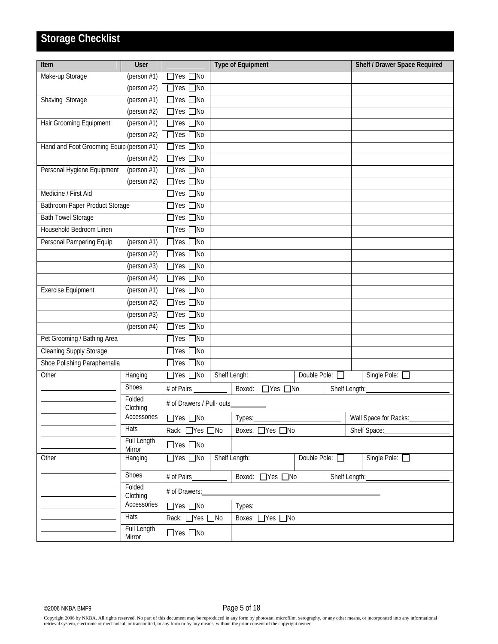## **Storage Checklist**

| Item                                     | User                  |                                    |        | <b>Type of Equipment</b>       |                |  | Shelf / Drawer Space Required |
|------------------------------------------|-----------------------|------------------------------------|--------|--------------------------------|----------------|--|-------------------------------|
| Make-up Storage                          | (person $#1$ )        | $\Box$ Yes $\Box$ No               |        |                                |                |  |                               |
|                                          | (person #2)           | $\Box$ Yes $\Box$ No               |        |                                |                |  |                               |
| Shaving Storage                          | (person $#1$ )        | $\Box$ Yes $\Box$ No               |        |                                |                |  |                               |
|                                          | (person #2)           | $\overline{\Box}$ Yes<br>$\Box$ No |        |                                |                |  |                               |
| Hair Grooming Equipment                  | (person $#1$ )        | $\Box$ Yes $\Box$ No               |        |                                |                |  |                               |
|                                          | (person $#2$ )        | $\Box$ Yes $\Box$ No               |        |                                |                |  |                               |
| Hand and Foot Grooming Equip (person #1) |                       | $\Box$ Yes $\Box$ No               |        |                                |                |  |                               |
|                                          | (person $#2$ )        | $\Box$ Yes $\Box$ No               |        |                                |                |  |                               |
| Personal Hygiene Equipment               | (person $#1$ )        | $\overline{\Box}$ Yes<br>$\Box$ No |        |                                |                |  |                               |
|                                          | (person $#2$ )        | $\Box$ Yes $\Box$ No               |        |                                |                |  |                               |
| Medicine / First Aid                     |                       | $\Box$ Yes $\Box$ No               |        |                                |                |  |                               |
| Bathroom Paper Product Storage           |                       | $\Box$ Yes $\Box$ No               |        |                                |                |  |                               |
| <b>Bath Towel Storage</b>                |                       | $\Box$ Yes $\Box$ No               |        |                                |                |  |                               |
| Household Bedroom Linen                  |                       | $\Box$ Yes $\Box$ No               |        |                                |                |  |                               |
| Personal Pampering Equip                 | (person $#1$ )        | $\Box$ Yes $\Box$ No               |        |                                |                |  |                               |
|                                          | (person #2)           | $\Box$ Yes $\Box$ No               |        |                                |                |  |                               |
|                                          | (person $#3$ )        | $\Box$ Yes $\Box$ No               |        |                                |                |  |                               |
|                                          | (person $#4$ )        | $\Box$ Yes $\Box$ No               |        |                                |                |  |                               |
| <b>Exercise Equipment</b>                | (person $#1$ )        | $\Box$ Yes $\Box$ No               |        |                                |                |  |                               |
|                                          | (person #2)           | $\Box$ Yes $\Box$ No               |        |                                |                |  |                               |
|                                          | (person $#3$ )        | $\Box$ Yes $\Box$ No               |        |                                |                |  |                               |
|                                          | (person $#4$ )        | $\Box$ Yes $\Box$ No               |        |                                |                |  |                               |
| Pet Grooming / Bathing Area              |                       | $\Box$ Yes $\Box$ No               |        |                                |                |  |                               |
| <b>Cleaning Supply Storage</b>           |                       | $\Box$ Yes $\Box$ No               |        |                                |                |  |                               |
| Shoe Polishing Paraphernalia             |                       | $\Box$ Yes [<br>$\Box$ No          |        |                                |                |  |                               |
| Other                                    | Hanging               | $\Box$ Yes $\Box$ No               |        | Shelf Lengh:                   | Double Pole: O |  | Single Pole:                  |
|                                          | Shoes                 | # of Pairs                         |        | Boxed:<br>$\Box$ Yes $\Box$ No |                |  | Shelf Length:                 |
|                                          | Folded<br>Clothing    | # of Drawers / Pull- outs          |        |                                |                |  |                               |
|                                          | Accessories           | $\Box$ Yes $\Box$ No               |        | Types:                         |                |  | Wall Space for Racks:         |
|                                          | Hats                  | Rack: □Yes □No                     |        | Boxes: □ Yes □ No              |                |  | Shelf Space:                  |
|                                          | Full Length<br>Mirror | $\Box$ Yes $\Box$ No               |        |                                |                |  |                               |
| Other                                    | Hanging               | $\Box$ Yes $\Box$ No               |        | Shelf Length:                  | Double Pole:   |  | Single Pole: □                |
|                                          | Shoes                 | # of Pairs_                        |        | Boxed: ■ Yes ■ No              |                |  | Shelf Length:                 |
|                                          | Folded<br>Clothing    | # of Drawers:                      |        |                                |                |  |                               |
| Accessories                              |                       | $\Box$ Yes $\Box$ No               | Types: |                                |                |  |                               |
|                                          | <b>Hats</b>           | Rack: □Yes □No                     |        | Boxes: □ Yes □ No              |                |  |                               |
|                                          | Full Length<br>Mirror | $\Box$ Yes $\Box$ No               |        |                                |                |  |                               |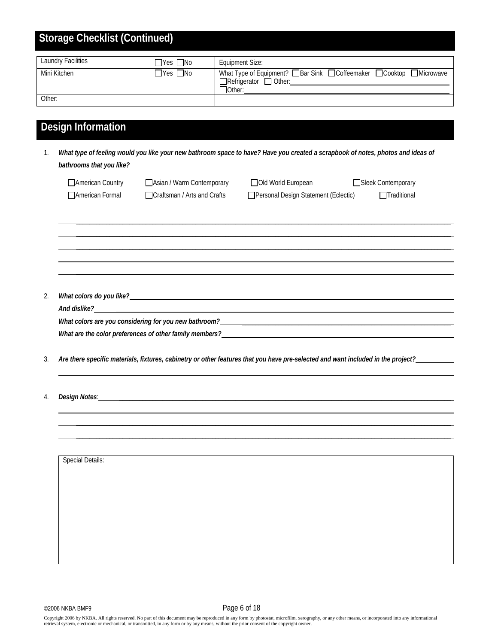| Storage Checklist (Continued) |                      |                                                                                                                        |  |  |  |  |  |
|-------------------------------|----------------------|------------------------------------------------------------------------------------------------------------------------|--|--|--|--|--|
| <b>Laundry Facilities</b>     | $\Box$ Yes $\Box$ No | Equipment Size:                                                                                                        |  |  |  |  |  |
| Mini Kitchen                  | $\Box$ Yes $\Box$ No | What Type of Equipment? □ Bar Sink □ Coffeemaker □ Cooktop □ Microwave<br>$\Box$ Refrigerator $\Box$ Other:<br>□Other: |  |  |  |  |  |
| Other:                        |                      |                                                                                                                        |  |  |  |  |  |

## **Design Information**

1. *What type of feeling would you like your new bathroom space to have? Have you created a scrapbook of notes, photos and ideas of bathrooms that you like?*

| American Country       | Asian / Warm Contemporary     | Old World European                   | Sleek Contemporary |
|------------------------|-------------------------------|--------------------------------------|--------------------|
| <b>American Formal</b> | □ Craftsman / Arts and Crafts | Personal Design Statement (Eclectic) | $\Box$ Traditional |

 $\mathcal{L}_1 = \{ \mathcal{L}_1 = \{ \mathcal{L}_2 = \{ \mathcal{L}_1 = \{ \mathcal{L}_2 = \{ \mathcal{L}_1 = \{ \mathcal{L}_2 = \{ \mathcal{L}_2 = \{ \mathcal{L}_2 = \{ \mathcal{L}_1 = \{ \mathcal{L}_2 = \{ \mathcal{L}_2 = \{ \mathcal{L}_2 = \{ \mathcal{L}_2 = \{ \mathcal{L}_2 = \{ \mathcal{L}_2 = \{ \mathcal{L}_2 = \{ \mathcal{L}_2 = \{ \mathcal{L}_2 = \{ \mathcal{L}_2 = \{ \mathcal{L}_2 = \{ \mathcal{L}_1 = \{$  $\_$  ,  $\_$  ,  $\_$  ,  $\_$  ,  $\_$  ,  $\_$  ,  $\_$  ,  $\_$  ,  $\_$  ,  $\_$  ,  $\_$  ,  $\_$  ,  $\_$  ,  $\_$  ,  $\_$  ,  $\_$  ,  $\_$  ,  $\_$  ,  $\_$  ,  $\_$  ,  $\_$  ,  $\_$  ,  $\_$  ,  $\_$  ,  $\_$  ,  $\_$  ,  $\_$  ,  $\_$  ,  $\_$  ,  $\_$  ,  $\_$  ,  $\_$  ,  $\_$  ,  $\_$  ,  $\_$  ,  $\_$  ,  $\_$  ,  $\_$  ,  $\_$  ,  $\_$  ,  $\_$  ,  $\_$  ,  $\_$  ,  $\_$  ,  $\_$  ,  $\_$  ,  $\_$  ,  $\_$  ,  $\_$  ,  $\_$  ,  $\_$  ,  $\_$  ,  $\_$  ,  $\_$  ,  $\_$  ,  $\_$  ,  $\_$  ,  $\_$  ,  $\_$  ,  $\_$  ,  $\_$  ,  $\_$  ,  $\_$  ,  $\_$  ,  $\_$  ,  $\_$  ,  $\_$  ,  $\_$  ,  $\_$  ,  $\_$  ,  $\_$  ,  $\_$  ,  $\_$  ,  $\_$  ,  $\mathcal{L}_\mathcal{L} = \mathcal{L}_\mathcal{L} = \mathcal{L}_\mathcal{L} = \mathcal{L}_\mathcal{L} = \mathcal{L}_\mathcal{L} = \mathcal{L}_\mathcal{L} = \mathcal{L}_\mathcal{L} = \mathcal{L}_\mathcal{L} = \mathcal{L}_\mathcal{L} = \mathcal{L}_\mathcal{L} = \mathcal{L}_\mathcal{L} = \mathcal{L}_\mathcal{L} = \mathcal{L}_\mathcal{L} = \mathcal{L}_\mathcal{L} = \mathcal{L}_\mathcal{L} = \mathcal{L}_\mathcal{L} = \mathcal{L}_\mathcal{L}$  $\_$  ,  $\_$  ,  $\_$  ,  $\_$  ,  $\_$  ,  $\_$  ,  $\_$  ,  $\_$  ,  $\_$  ,  $\_$  ,  $\_$  ,  $\_$  ,  $\_$  ,  $\_$  ,  $\_$  ,  $\_$  ,  $\_$  ,  $\_$  ,  $\_$  ,  $\_$  ,  $\_$  ,  $\_$  ,  $\_$  ,  $\_$  ,  $\_$  ,  $\_$  ,  $\_$  ,  $\_$  ,  $\_$  ,  $\_$  ,  $\_$  ,  $\_$  ,  $\_$  ,  $\_$  ,  $\_$  ,  $\_$  ,  $\_$  ,

2. *What colors do you like?* \_\_\_\_\_\_\_\_\_\_\_\_\_\_\_\_\_\_\_\_\_\_\_\_\_\_\_\_\_\_\_\_\_\_\_\_\_\_\_\_\_\_\_\_\_\_\_\_\_\_\_\_\_\_\_\_\_\_\_\_\_\_\_\_\_\_\_\_\_\_\_\_\_\_\_\_\_\_\_\_\_\_\_\_\_\_\_\_\_\_ *And dislike?* \_\_\_\_\_\_\_\_\_\_\_\_\_\_\_\_\_\_\_\_\_\_\_\_\_\_\_\_\_\_\_\_\_\_\_\_\_\_\_\_\_\_\_\_\_\_\_\_\_\_\_\_\_\_\_\_\_\_\_\_\_\_\_\_\_\_\_\_\_\_\_\_\_\_\_\_\_\_\_\_\_\_\_\_\_\_\_\_\_\_\_\_\_\_\_\_\_\_\_\_\_ What colors are you considering for you new bathroom? What are the color preferences of other family members?

 $\mathcal{L}_\mathcal{L} = \mathcal{L}_\mathcal{L} = \mathcal{L}_\mathcal{L} = \mathcal{L}_\mathcal{L} = \mathcal{L}_\mathcal{L} = \mathcal{L}_\mathcal{L} = \mathcal{L}_\mathcal{L} = \mathcal{L}_\mathcal{L} = \mathcal{L}_\mathcal{L} = \mathcal{L}_\mathcal{L} = \mathcal{L}_\mathcal{L} = \mathcal{L}_\mathcal{L} = \mathcal{L}_\mathcal{L} = \mathcal{L}_\mathcal{L} = \mathcal{L}_\mathcal{L} = \mathcal{L}_\mathcal{L} = \mathcal{L}_\mathcal{L}$ 

 $\mathcal{L}_\mathcal{L} = \mathcal{L}_\mathcal{L} = \mathcal{L}_\mathcal{L} = \mathcal{L}_\mathcal{L} = \mathcal{L}_\mathcal{L} = \mathcal{L}_\mathcal{L} = \mathcal{L}_\mathcal{L} = \mathcal{L}_\mathcal{L} = \mathcal{L}_\mathcal{L} = \mathcal{L}_\mathcal{L} = \mathcal{L}_\mathcal{L} = \mathcal{L}_\mathcal{L} = \mathcal{L}_\mathcal{L} = \mathcal{L}_\mathcal{L} = \mathcal{L}_\mathcal{L} = \mathcal{L}_\mathcal{L} = \mathcal{L}_\mathcal{L}$  $\mathcal{L}_\mathcal{L} = \mathcal{L}_\mathcal{L} = \mathcal{L}_\mathcal{L} = \mathcal{L}_\mathcal{L} = \mathcal{L}_\mathcal{L} = \mathcal{L}_\mathcal{L} = \mathcal{L}_\mathcal{L} = \mathcal{L}_\mathcal{L} = \mathcal{L}_\mathcal{L} = \mathcal{L}_\mathcal{L} = \mathcal{L}_\mathcal{L} = \mathcal{L}_\mathcal{L} = \mathcal{L}_\mathcal{L} = \mathcal{L}_\mathcal{L} = \mathcal{L}_\mathcal{L} = \mathcal{L}_\mathcal{L} = \mathcal{L}_\mathcal{L}$  $\_$  ,  $\_$  ,  $\_$  ,  $\_$  ,  $\_$  ,  $\_$  ,  $\_$  ,  $\_$  ,  $\_$  ,  $\_$  ,  $\_$  ,  $\_$  ,  $\_$  ,  $\_$  ,  $\_$  ,  $\_$  ,  $\_$  ,  $\_$  ,  $\_$  ,  $\_$  ,  $\_$  ,  $\_$  ,  $\_$  ,  $\_$  ,  $\_$  ,  $\_$  ,  $\_$  ,  $\_$  ,  $\_$  ,  $\_$  ,  $\_$  ,  $\_$  ,  $\_$  ,  $\_$  ,  $\_$  ,  $\_$  ,  $\_$  ,

3. *Are there specific materials, fixtures, cabinetry or other features that you have pre-selected and want included in the project?* \_\_\_\_

4. *Design Notes*: \_\_\_\_\_\_\_\_\_\_\_\_\_\_\_\_\_\_\_\_\_\_\_\_\_\_\_\_\_\_\_\_\_\_\_\_\_\_\_\_\_\_\_\_\_\_\_\_\_\_\_\_\_\_\_\_\_\_\_\_\_\_\_\_\_\_\_\_\_\_\_\_\_\_\_\_\_\_\_\_\_\_\_\_\_\_\_\_\_\_\_\_\_\_\_\_\_\_\_\_

| Special Details: |  |  |  |
|------------------|--|--|--|
|                  |  |  |  |
|                  |  |  |  |
|                  |  |  |  |
|                  |  |  |  |
|                  |  |  |  |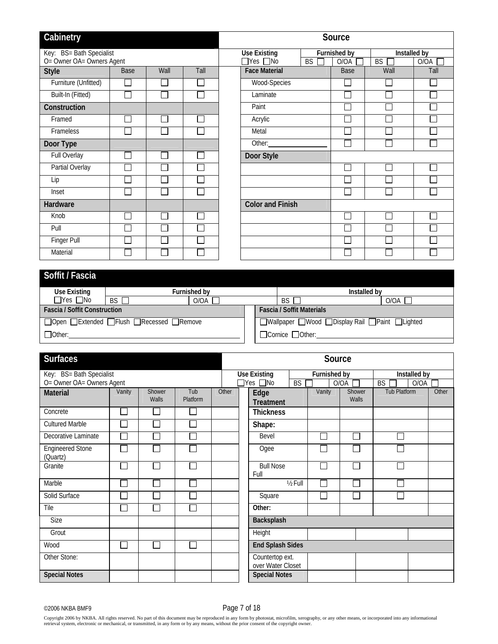| Cabinetry                 |                             |      |      |                         |         | Source       |              |                      |
|---------------------------|-----------------------------|------|------|-------------------------|---------|--------------|--------------|----------------------|
| Key: BS= Bath Specialist  |                             |      |      | <b>Use Existing</b>     |         | Furnished by | Installed by |                      |
| O= Owner OA= Owners Agent |                             |      |      | $\Box$ Yes $\Box$ No    | BS<br>ᄀ | O/OA         | BS           | O/OA<br>$\mathbf{L}$ |
| <b>Style</b>              | Base                        | Wall | Tall | <b>Face Material</b>    |         | Base         | Wall         | Tall                 |
| Furniture (Unfitted)      |                             |      |      | Wood-Species            |         |              |              |                      |
| Built-In (Fitted)         | П                           |      |      | Laminate                |         |              |              |                      |
| Construction              |                             |      |      | Paint                   |         |              |              |                      |
| Framed                    |                             |      |      | Acrylic                 |         |              |              |                      |
| Frameless                 |                             |      |      | Metal                   |         |              |              |                      |
| Door Type                 |                             |      |      | Other:                  |         |              |              |                      |
| Full Overlay              |                             |      |      | Door Style              |         |              |              |                      |
| Partial Overlay           | $\mathcal{L}_{\mathcal{A}}$ |      |      |                         |         |              |              |                      |
| Lip                       | $\sim$                      |      |      |                         |         |              |              |                      |
| Inset                     | $\mathbf{I}$                |      |      |                         |         |              |              |                      |
| Hardware                  |                             |      |      | <b>Color and Finish</b> |         |              |              |                      |
| Knob                      |                             |      |      |                         |         |              |              |                      |
| Pull                      |                             |      |      |                         |         |              |              |                      |
| Finger Pull               |                             |      |      |                         |         |              |              |                      |
| Material                  |                             |      |      |                         |         |              |              |                      |

|                                     |      | Installed by                                                  |           |                                                                  |      |                                                |  |  |
|-------------------------------------|------|---------------------------------------------------------------|-----------|------------------------------------------------------------------|------|------------------------------------------------|--|--|
| $BS \Gamma$                         | O/OA |                                                               | <b>BS</b> |                                                                  | O/OA |                                                |  |  |
| <b>Fascia / Soffit Construction</b> |      |                                                               |           |                                                                  |      |                                                |  |  |
|                                     |      |                                                               |           |                                                                  |      |                                                |  |  |
|                                     |      |                                                               |           |                                                                  |      |                                                |  |  |
|                                     |      | Furnished bv<br>□ Open □ Extended □ Flush □ Recessed □ Remove |           | <b>Fascia / Soffit Materials</b><br>$\Box$ Cornice $\Box$ Other: |      | □Wallpaper □Wood □Display Rail □Paint □Lighted |  |  |

| <b>Surfaces</b>                     |                             |                 |                 |       | Source               |                                      |          |              |                 |                        |       |
|-------------------------------------|-----------------------------|-----------------|-----------------|-------|----------------------|--------------------------------------|----------|--------------|-----------------|------------------------|-------|
| Key: BS= Bath Specialist            |                             |                 |                 |       |                      | <b>Use Existing</b>                  |          | Furnished by |                 | Installed by           |       |
| O= Owner OA= Owners Agent           |                             |                 |                 |       | $\Box$ Yes $\Box$ No |                                      |          |              | O/OA            | <b>BS</b><br>O/OA<br>П |       |
| <b>Material</b>                     | Vanity                      | Shower<br>Walls | Tub<br>Platform | Other |                      | Edge<br><b>Treatment</b>             |          | Vanity       | Shower<br>Walls | <b>Tub Platform</b>    | Other |
| Concrete                            | $\Box$                      | Г               |                 |       |                      | <b>Thickness</b>                     |          |              |                 |                        |       |
| <b>Cultured Marble</b>              | $\mathcal{L}_{\mathcal{A}}$ |                 |                 |       |                      | Shape:                               |          |              |                 |                        |       |
| Decorative Laminate                 | $\Box$                      | Ξ               |                 |       |                      | Bevel                                |          |              |                 |                        |       |
| <b>Engineered Stone</b><br>(Quartz) | $\Box$                      | Ξ               |                 |       |                      | Ogee                                 |          |              |                 |                        |       |
| Granite                             | $\Box$                      | П               |                 |       |                      | <b>Bull Nose</b><br>Full             |          | $\sim$       |                 |                        |       |
| Marble                              | $\overline{\phantom{a}}$    |                 |                 |       |                      |                                      | 1/2 Full |              |                 |                        |       |
| Solid Surface                       | L.                          |                 |                 |       |                      | Square                               |          |              |                 |                        |       |
| Tile                                | $\overline{\phantom{a}}$    |                 |                 |       |                      | Other:                               |          |              |                 |                        |       |
| Size                                |                             |                 |                 |       |                      | Backsplash                           |          |              |                 |                        |       |
| Grout                               |                             |                 |                 |       |                      | Height                               |          |              |                 |                        |       |
| Wood                                | $\overline{\phantom{a}}$    |                 |                 |       |                      | <b>End Splash Sides</b>              |          |              |                 |                        |       |
| Other Stone:                        |                             |                 |                 |       |                      | Countertop ext.<br>over Water Closet |          |              |                 |                        |       |
| <b>Special Notes</b>                |                             |                 |                 |       |                      | <b>Special Notes</b>                 |          |              |                 |                        |       |

©2006 NKBA BMF9 Page 7 of 18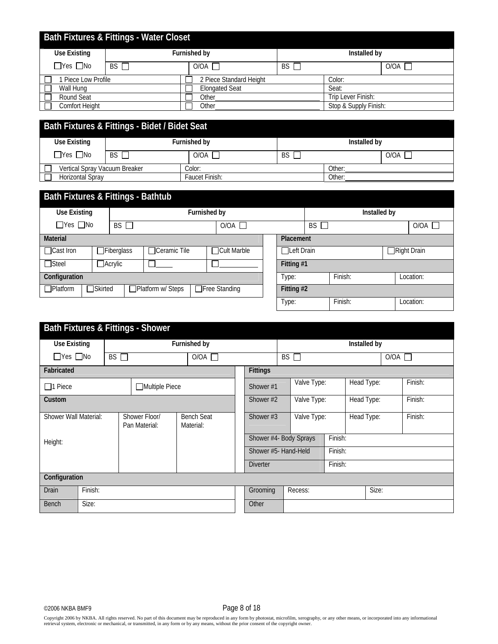| <b>Bath Fixtures &amp; Fittings - Water Closet</b> |           |                         |    |                                                               |  |  |  |  |  |
|----------------------------------------------------|-----------|-------------------------|----|---------------------------------------------------------------|--|--|--|--|--|
| <b>Use Existing</b>                                |           | Furnished by            |    | Installed by<br>O/OA<br>Color:<br>Seat:<br>Trip Lever Finish: |  |  |  |  |  |
| $\Box$ Yes $\Box$ No                               | $BS \Box$ | $O/OA$ $\overline{ }$   | BS |                                                               |  |  |  |  |  |
| Piece Low Profile                                  |           | 2 Piece Standard Height |    |                                                               |  |  |  |  |  |
| Wall Hung                                          |           | <b>Elongated Seat</b>   |    |                                                               |  |  |  |  |  |
| Round Seat                                         |           | Other                   |    |                                                               |  |  |  |  |  |
| Comfort Height                                     |           | Other                   |    | Stop & Supply Finish:                                         |  |  |  |  |  |

| Bath Fixtures & Fittings - Bidet / Bidet Seat       |                                                            |              |           |              |      |  |  |  |  |
|-----------------------------------------------------|------------------------------------------------------------|--------------|-----------|--------------|------|--|--|--|--|
| Use Existing                                        |                                                            | Furnished by |           | Installed by |      |  |  |  |  |
| $\Box$ Yes $\Box$ No                                | $BS \Gamma$                                                | O/OA         | <b>BS</b> |              | O/OA |  |  |  |  |
|                                                     | Vertical Spray Vacuum Breaker<br>Other:<br>$\text{Color:}$ |              |           |              |      |  |  |  |  |
| <b>Horizontal Spray</b><br>Faucet Finish:<br>Other: |                                                            |              |           |              |      |  |  |  |  |

| Bath Fixtures & Fittings - Bathtub                                                      |                |                   |                     |              |             |  |              |      |         |  |  |                    |
|-----------------------------------------------------------------------------------------|----------------|-------------------|---------------------|--------------|-------------|--|--------------|------|---------|--|--|--------------------|
| Use Existing                                                                            |                |                   |                     | Furnished by |             |  | Installed by |      |         |  |  |                    |
| $\Box$ Yes $\Box$ No                                                                    |                | BS                |                     |              | O/OA        |  |              | BS I |         |  |  | O/OA               |
| <b>Material</b><br>Placement                                                            |                |                   |                     |              |             |  |              |      |         |  |  |                    |
| $\Box$ Cast Iron                                                                        |                | $\Box$ Fiberglass | $\Box$ Ceramic Tile |              | Cult Marble |  | Left Drain   |      |         |  |  | $\Box$ Right Drain |
| $\Box$ Steel                                                                            | $\Box$ Acrylic |                   |                     |              |             |  | Fitting #1   |      |         |  |  |                    |
| Configuration                                                                           |                |                   |                     |              |             |  | Type:        |      | Finish: |  |  | Location:          |
| $\Box$ Platform<br>□Platform w/ Steps<br>$\Box$ Free Standing<br>□Skirted<br>Fitting #2 |                |                   |                     |              |             |  |              |      |         |  |  |                    |
|                                                                                         |                |                   |                     |              |             |  | Type:        |      | Finish: |  |  | Location:          |

|                         | <b>Bath Fixtures &amp; Fittings - Shower</b> |                                |                                |           |                        |              |             |            |            |         |               |         |
|-------------------------|----------------------------------------------|--------------------------------|--------------------------------|-----------|------------------------|--------------|-------------|------------|------------|---------|---------------|---------|
| Use Existing            |                                              |                                | Furnished by                   |           |                        | Installed by |             |            |            |         |               |         |
| $\Box$ Yes $\Box$ No    | $BS \Box$                                    | $O/OA$ $\Box$                  |                                |           |                        |              | $BS \Box$   |            |            |         | $O/OA$ $\Box$ |         |
| Fabricated              |                                              |                                | <b>Fittings</b>                |           |                        |              |             |            |            |         |               |         |
| $\Box$ 1 Piece          |                                              | Multiple Piece                 |                                | Shower #1 |                        | Valve Type:  |             | Head Type: |            |         | Finish:       |         |
| Custom                  |                                              |                                | Shower #2                      |           | Valve Type:            |              | Head Type:  |            |            | Finish: |               |         |
| Shower Wall Material:   |                                              | Shower Floor/<br>Pan Material: | <b>Bench Seat</b><br>Material: |           | Shower #3              |              | Valve Type: |            | Head Type: |         |               | Finish: |
| Height:                 |                                              |                                |                                |           | Shower #4- Body Sprays |              |             | Finish:    |            |         |               |         |
|                         |                                              |                                |                                |           | Shower #5- Hand-Held   |              |             | Finish:    |            |         |               |         |
|                         |                                              |                                |                                |           | <b>Diverter</b>        |              |             | Finish:    |            |         |               |         |
| Configuration           |                                              |                                |                                |           |                        |              |             |            |            |         |               |         |
| Finish:<br><b>Drain</b> |                                              |                                |                                |           | Grooming               |              | Recess:     |            |            | Size:   |               |         |
| Size:<br><b>Bench</b>   |                                              |                                |                                |           |                        |              |             |            |            |         |               |         |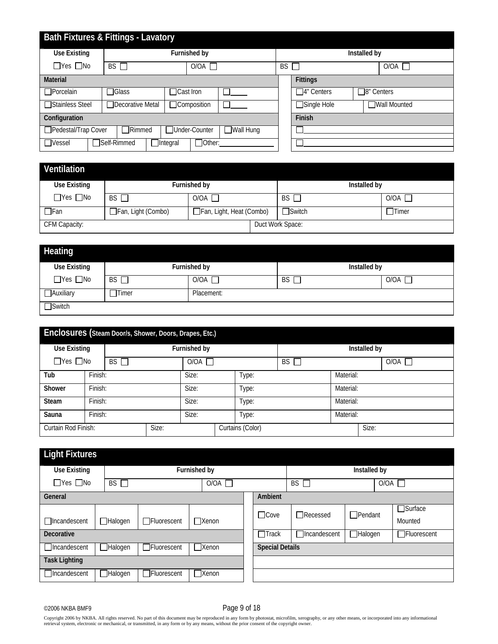| <b>Bath Fixtures &amp; Fittings - Lavatory</b>                      |  |                                  |  |      |              |           |                      |                                        |  |
|---------------------------------------------------------------------|--|----------------------------------|--|------|--------------|-----------|----------------------|----------------------------------------|--|
| Use Existing                                                        |  |                                  |  |      | Furnished by |           |                      | Installed by                           |  |
| $\Box$ Yes $\Box$ No                                                |  | BS                               |  | O/OA |              | <b>BS</b> | O/OA<br>$\mathbf{L}$ |                                        |  |
| <b>Material</b>                                                     |  |                                  |  |      |              |           |                      | <b>Fittings</b>                        |  |
| $\Box$ Porcelain                                                    |  | $\Box$ Glass<br>$\Box$ Cast Iron |  |      |              |           |                      | $\Box$ 4" Centers<br>$\Box$ 8" Centers |  |
| □Stainless Steel                                                    |  | □Decorative Metal                |  |      | □Composition |           |                      | $\Box$ Single Hole<br>□Wall Mounted    |  |
| Configuration                                                       |  |                                  |  |      |              |           |                      | Finish                                 |  |
| Pedestal/Trap Cover<br>Under-Counter<br>Wall Hung<br><b>TRimmed</b> |  |                                  |  |      |              |           |                      |                                        |  |
| TSelf-Rimmed<br>$\Box$ Other:<br>$\Box$ Vessel<br>$\Box$ Integral   |  |                                  |  |      |              |           |                      |                                        |  |

| Ventilation          |                    |                          |                  |              |
|----------------------|--------------------|--------------------------|------------------|--------------|
| <b>Use Existing</b>  |                    | Furnished by             | Installed by     |              |
| $\Box$ Yes $\Box$ No | BS                 | O/OA                     | <b>BS</b>        | O/OA         |
| $\Box$ Fan           | Fan, Light (Combo) | Fan, Light, Heat (Combo) | $\Box$ Switch    | $\Box$ Timer |
| CFM Capacity:        |                    |                          | Duct Work Space: |              |

| Heating              |              |              |              |                 |
|----------------------|--------------|--------------|--------------|-----------------|
| <b>Use Existing</b>  |              | Furnished by | Installed by |                 |
| $\Box$ Yes $\Box$ No | $BS \Box$    | O/OA         | <b>BS</b>    | $O/OA$ $\Gamma$ |
| $\Box$ Auxiliary     | $\Box$ Timer | Placement:   |              |                 |
| $\Box$ Switch        |              |              |              |                 |

| Enclosures (Steam Door/s, Shower, Doors, Drapes, Etc.) |         |           |  |                       |  |           |           |           |              |  |  |
|--------------------------------------------------------|---------|-----------|--|-----------------------|--|-----------|-----------|-----------|--------------|--|--|
| <b>Use Existing</b><br>Furnished by                    |         |           |  |                       |  |           |           |           | Installed by |  |  |
| $\Box$ Yes $\Box$ No                                   |         | $BS \Box$ |  | $O/OA$ $\overline{ }$ |  | <b>BS</b> |           |           | O/OA         |  |  |
| Tub                                                    | Finish: |           |  | Size:                 |  | Type:     | Material: |           |              |  |  |
| Shower                                                 | Finish: |           |  | Size:                 |  | Type:     |           | Material: |              |  |  |
| <b>Steam</b>                                           | Finish: |           |  | Size:                 |  | Type:     |           | Material: |              |  |  |
| Sauna                                                  | Finish: |           |  | Size:                 |  | Гуре:     |           | Material: |              |  |  |
| Size:<br>Curtain Rod Finish:                           |         |           |  | Curtains (Color)      |  |           | Size:     |           |              |  |  |

| <b>Light Fixtures</b> |                                                                                |                    |              |              |  |                |  |                                       |                |  |                              |
|-----------------------|--------------------------------------------------------------------------------|--------------------|--------------|--------------|--|----------------|--|---------------------------------------|----------------|--|------------------------------|
| Use Existing          |                                                                                | Furnished by       |              |              |  |                |  | Installed by                          |                |  |                              |
| $\Box$ Yes $\Box$ No  | BS                                                                             | $O/OA$ $\Box$      |              |              |  |                |  | BS.<br>$O/OA$ $\Box$<br>$\mathcal{L}$ |                |  |                              |
| General               |                                                                                |                    |              |              |  | Ambient        |  |                                       |                |  |                              |
| $\Box$ Incandescent   | $\Box$ Halogen                                                                 | □Fluorescent       | $\Box$ Xenon |              |  | $\Box$ Cove    |  | $\Box$ Recessed                       | $\Box$ Pendant |  | $\square$ Surface<br>Mounted |
| Decorative            |                                                                                |                    |              |              |  | $\sqcap$ Track |  | <b>Tincandescent</b>                  | Halogen        |  | □Fluorescent                 |
| Incandescent          | <b>Special Details</b><br>$\Box$ Fluorescent<br><b>Xenon</b><br><b>Halogen</b> |                    |              |              |  |                |  |                                       |                |  |                              |
| <b>Task Lighting</b>  |                                                                                |                    |              |              |  |                |  |                                       |                |  |                              |
| □Incandescent         | <b>Halogen</b>                                                                 | <b>Fluorescent</b> |              | $\Box$ Xenon |  |                |  |                                       |                |  |                              |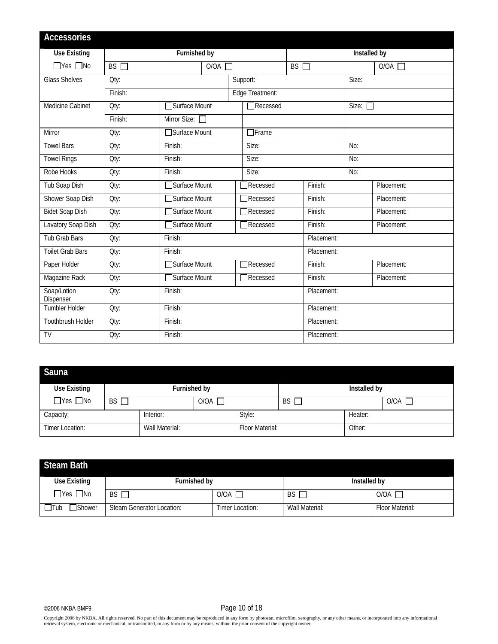| <b>Accessories</b>       |           |                     |                 |                     |                 |               |  |
|--------------------------|-----------|---------------------|-----------------|---------------------|-----------------|---------------|--|
| <b>Use Existing</b>      |           | <b>Furnished by</b> |                 | <b>Installed by</b> |                 |               |  |
| $\Box$ Yes $\Box$ No     | $BS \Box$ | O/OA                |                 | $BS \Box$           |                 | $O/OA$ $\Box$ |  |
| <b>Glass Shelves</b>     | Oty:      |                     | Support:        |                     | Size:           |               |  |
|                          | Finish:   |                     | Edge Treatment: |                     |                 |               |  |
| Medicine Cabinet         | Qty:      | □Surface Mount      | Recessed        |                     | Size: $\square$ |               |  |
|                          | Finish:   | Mirror Size: 0      |                 |                     |                 |               |  |
| Mirror                   | Oty:      | Surface Mount       | $\Box$ Frame    |                     |                 |               |  |
| <b>Towel Bars</b>        | Oty:      | Finish:             | Size:           |                     | No:             |               |  |
| <b>Towel Rings</b>       | Oty:      | Finish:             | Size:           |                     | No:             |               |  |
| Robe Hooks               | Oty:      | Finish:             | Size:           |                     | No:             |               |  |
| <b>Tub Soap Dish</b>     | Qty:      | Surface Mount       | Recessed        | Finish:             |                 | Placement:    |  |
| Shower Soap Dish         | Qty:      | Surface Mount       | <b>Recessed</b> | Finish:             |                 | Placement:    |  |
| <b>Bidet Soap Dish</b>   | Oty:      | Surface Mount       | <b>Recessed</b> | Finish:             |                 | Placement:    |  |
| Lavatory Soap Dish       | Qty:      | Surface Mount       | Recessed        | Finish:             |                 | Placement:    |  |
| <b>Tub Grab Bars</b>     | Oty:      | Finish:             |                 | Placement:          |                 |               |  |
| <b>Toilet Grab Bars</b>  | Oty:      | Finish:             |                 | Placement:          |                 |               |  |
| Paper Holder             | Qty:      | Surface Mount       | <b>Recessed</b> | Finish:             |                 | Placement:    |  |
| Magazine Rack            | Oty:      | Surface Mount       | Recessed        | Finish:             |                 | Placement:    |  |
| Soap/Lotion<br>Dispenser | Qty:      | Finish:             |                 | Placement:          |                 |               |  |
| Tumbler Holder           | Oty:      | Finish:             |                 | Placement:          |                 |               |  |
| Toothbrush Holder        | Qty:      | Finish:             |                 | Placement:          |                 |               |  |
| <b>TV</b>                | Oty:      | Finish:             |                 | Placement:          |                 |               |  |

| Sauna                |              |                |               |                 |           |              |      |
|----------------------|--------------|----------------|---------------|-----------------|-----------|--------------|------|
| Use Existing         | Furnished by |                |               |                 |           | Installed by |      |
| $\Box$ Yes $\Box$ No | BS I         |                | $O/OA$ $\Box$ |                 | <b>BS</b> |              | O/OA |
| Capacity:            |              | Interior:      |               | Style:          |           | Heater:      |      |
| Timer Location:      |              | Wall Material: |               | Floor Material: |           | Other:       |      |

| <b>Steam Bath</b>              |                           |                 |                |                 |
|--------------------------------|---------------------------|-----------------|----------------|-----------------|
| Use Existing                   | Furnished by              |                 | Installed by   |                 |
| $\Box$ Yes $\Box$ No           | BS I                      | AO\O            | <b>BS</b>      | 0/0A [          |
| $\sqcap$ Tub<br><b>TShower</b> | Steam Generator Location: | Timer Location: | Wall Material: | Floor Material: |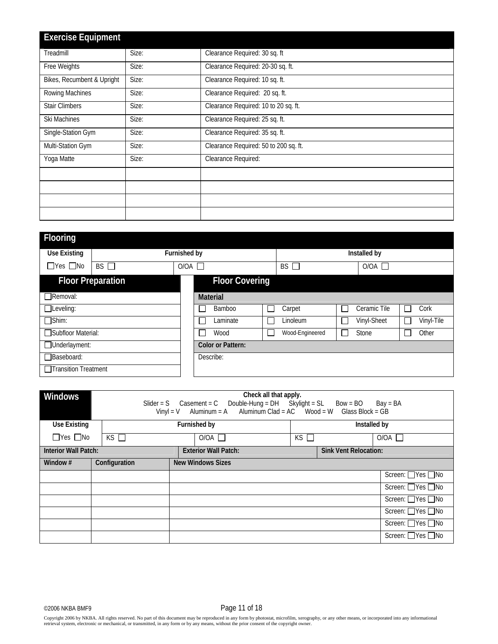| <b>Exercise Equipment</b>  |       |                                       |
|----------------------------|-------|---------------------------------------|
| Treadmill                  | Size: | Clearance Required: 30 sq. ft         |
| Free Weights               | Size: | Clearance Required: 20-30 sq. ft.     |
| Bikes, Recumbent & Upright | Size: | Clearance Required: 10 sq. ft.        |
| Rowing Machines            | Size: | Clearance Required: 20 sq. ft.        |
| <b>Stair Climbers</b>      | Size: | Clearance Required: 10 to 20 sq. ft.  |
| Ski Machines               | Size: | Clearance Required: 25 sq. ft.        |
| Single-Station Gym         | Size: | Clearance Required: 35 sq. ft.        |
| Multi-Station Gym          | Size: | Clearance Required: 50 to 200 sq. ft. |
| Yoga Matte                 | Size: | Clearance Required:                   |
|                            |       |                                       |
|                            |       |                                       |
|                            |       |                                       |
|                            |       |                                       |

| <b>Flooring</b>          |                        |  |                          |                             |                 |  |              |               |            |  |
|--------------------------|------------------------|--|--------------------------|-----------------------------|-----------------|--|--------------|---------------|------------|--|
| <b>Use Existing</b>      | Furnished by           |  |                          |                             | Installed by    |  |              |               |            |  |
| $\Box$ Yes $\Box$ No     | <b>BS</b><br>O/OA<br>Ξ |  |                          | <b>BS</b><br>O/OA<br>$\Box$ |                 |  |              |               |            |  |
| <b>Floor Preparation</b> |                        |  | <b>Floor Covering</b>    |                             |                 |  |              |               |            |  |
| $\Box$ Removal:          |                        |  | <b>Material</b>          |                             |                 |  |              |               |            |  |
| $\Box$ Leveling:         |                        |  | Bamboo                   |                             | Carpet          |  | Ceramic Tile |               | Cork       |  |
| $\Box$ Shim:             |                        |  | Laminate                 |                             | Linoleum        |  | Vinyl-Sheet  | $\mathcal{L}$ | Vinyl-Tile |  |
| □ Subfloor Material:     |                        |  | Wood                     | L                           | Wood-Engineered |  | Stone        |               | Other      |  |
| □Underlayment:           |                        |  | <b>Color or Pattern:</b> |                             |                 |  |              |               |            |  |
| Baseboard:               |                        |  | Describe:                |                             |                 |  |              |               |            |  |
| Transition Treatment     |                        |  |                          |                             |                 |  |              |               |            |  |

| <b>Windows</b>              | Check all that apply.<br>Slider = S $\text{Casement} = \text{C}$ Double-Hung = DH Skylight = SL Bow = BO Bay = BA<br>Vinyl = V Aluminum = A Aluminum Clad = $AC$ Wood = W Glass Block = GB |  |                             |              |                              |                    |  |  |  |
|-----------------------------|--------------------------------------------------------------------------------------------------------------------------------------------------------------------------------------------|--|-----------------------------|--------------|------------------------------|--------------------|--|--|--|
| <b>Use Existing</b>         |                                                                                                                                                                                            |  | Furnished by                | Installed by |                              |                    |  |  |  |
| $\Box$ Yes $\Box$ No        | KS                                                                                                                                                                                         |  | O/OA                        | $KS$ $\Box$  |                              | $O/OA$ $\Box$      |  |  |  |
| <b>Interior Wall Patch:</b> |                                                                                                                                                                                            |  | <b>Exterior Wall Patch:</b> |              | <b>Sink Vent Relocation:</b> |                    |  |  |  |
| Window $#$                  | Configuration                                                                                                                                                                              |  | <b>New Windows Sizes</b>    |              |                              |                    |  |  |  |
|                             |                                                                                                                                                                                            |  |                             |              |                              | Screen: □ Yes □ No |  |  |  |
|                             |                                                                                                                                                                                            |  |                             |              |                              | Screen: □ Yes □ No |  |  |  |
|                             |                                                                                                                                                                                            |  |                             |              |                              | Screen: □Yes □No   |  |  |  |
|                             |                                                                                                                                                                                            |  |                             |              |                              | Screen: ■ Yes ■ No |  |  |  |
|                             |                                                                                                                                                                                            |  |                             |              |                              | Screen: ■ Yes ■ No |  |  |  |
|                             |                                                                                                                                                                                            |  |                             |              |                              | Screen: □ Yes □ No |  |  |  |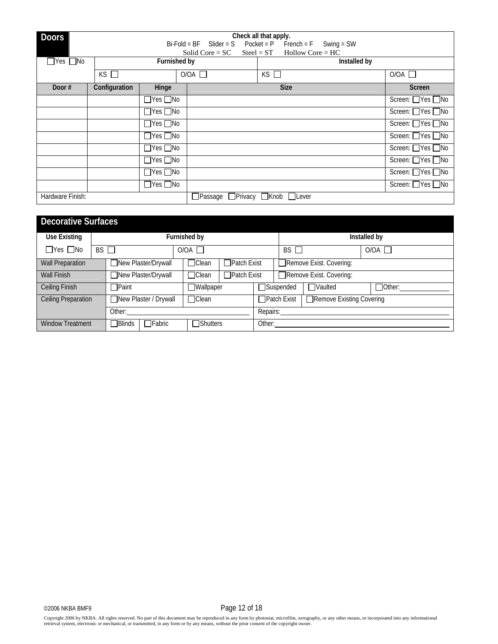| <b>Doors</b>         |               |                      |                                | Check all that apply.                 |              |                              |
|----------------------|---------------|----------------------|--------------------------------|---------------------------------------|--------------|------------------------------|
|                      |               |                      | $Bi-Fold = BF$ Slider = S      | $Pocket = P$ French = F Swing = SW    |              |                              |
|                      |               |                      | Solid Core = $SC$              | $H$ ollow Core = $HC$<br>$Steel = ST$ |              |                              |
| $\Box$ Yes $\Box$ No |               | Furnished by         |                                |                                       | Installed by |                              |
|                      | $KS$ $\Box$   |                      | O/OA                           | $KS$ $\Box$                           |              | $O/OA$ $\Box$                |
| Door#                | Configuration | Hinge                |                                | <b>Size</b>                           |              | <b>Screen</b>                |
|                      |               | $\Box$ Yes $\Box$ No |                                |                                       |              | Screen: ■Yes ■No             |
|                      |               | $\Box$ Yes $\Box$ No |                                |                                       |              | Screen: △Yes △No             |
|                      |               | $\Box$ Yes $\Box$ No |                                |                                       |              | Screen: ■Yes ■No             |
|                      |               | $\Box$ Yes $\Box$ No |                                |                                       |              | Screen: □ Yes □ No           |
|                      |               | $\Box$ Yes $\Box$ No |                                |                                       |              | Screen: □ Yes □ No           |
|                      |               | $\Box$ Yes $\Box$ No |                                |                                       |              | Screen: □Yes □No             |
|                      |               | $\Box$ Yes $\Box$ No |                                |                                       |              | Screen: ■Yes ■No             |
|                      |               | $\Box$ Yes $\Box$ No |                                |                                       |              | Screen: $\Box$ Yes $\Box$ No |
| Hardware Finish:     |               |                      | □Passage □Privacy □Knob □Lever |                                       |              |                              |

| <b>Decorative Surfaces</b>                   |                                               |               |  |                    |                    |                         |                               |                         |               |  |
|----------------------------------------------|-----------------------------------------------|---------------|--|--------------------|--------------------|-------------------------|-------------------------------|-------------------------|---------------|--|
| Use Existing                                 |                                               |               |  | Furnished by       |                    |                         | Installed by                  |                         |               |  |
| $\Box$ Yes $\Box$ No                         | BS <sub>1</sub>                               |               |  | $O/OA$ $\Box$      |                    |                         | $BS \Box$                     |                         | $O/OA$ $\Box$ |  |
| <b>Wall Preparation</b>                      | New Plaster/Drywall<br>□Clean                 |               |  | $\Box$ Patch Exist |                    | Remove Exist. Covering: |                               |                         |               |  |
| <b>Wall Finish</b>                           | New Plaster/Drywall                           |               |  | $\Box$ Clean       | $\Box$ Patch Exist |                         |                               | Remove Exist. Covering: |               |  |
| Ceiling Finish                               |                                               | <b>TPaint</b> |  | <b>JWallpaper</b>  |                    |                         | □Suspended<br><b>□Vaulted</b> |                         | $\Box$ Other: |  |
| New Plaster / Drywall<br>Ceiling Preparation |                                               | $\Box$ Clean  |  | $\Box$ Patch Exist |                    |                         | Remove Existing Covering      |                         |               |  |
|                                              |                                               | Other:        |  |                    |                    |                         | Repairs:                      |                         |               |  |
| <b>Window Treatment</b>                      | $\Box$ Fabric<br>∏Blinds<br><b>■</b> Shutters |               |  |                    | Other:             |                         |                               |                         |               |  |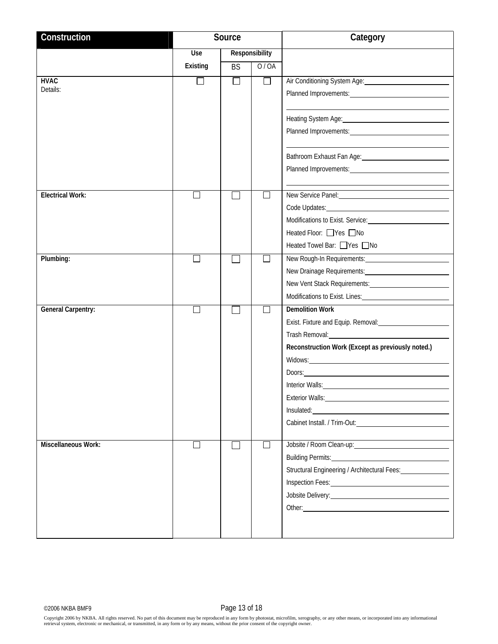| Construction              | Source       |           |                | Category                                                                                                                                                                                                                             |
|---------------------------|--------------|-----------|----------------|--------------------------------------------------------------------------------------------------------------------------------------------------------------------------------------------------------------------------------------|
|                           | Use          |           | Responsibility |                                                                                                                                                                                                                                      |
|                           | Existing     | <b>BS</b> | 0/0A           |                                                                                                                                                                                                                                      |
| <b>HVAC</b>               | $\Box$       | $\Box$    | $\Box$         | Air Conditioning System Age:                                                                                                                                                                                                         |
| Details:                  |              |           |                |                                                                                                                                                                                                                                      |
|                           |              |           |                |                                                                                                                                                                                                                                      |
|                           |              |           |                | Heating System Age: 1999                                                                                                                                                                                                             |
|                           |              |           |                |                                                                                                                                                                                                                                      |
|                           |              |           |                |                                                                                                                                                                                                                                      |
|                           |              |           |                | Bathroom Exhaust Fan Age: 1998                                                                                                                                                                                                       |
|                           |              |           |                |                                                                                                                                                                                                                                      |
|                           |              |           |                |                                                                                                                                                                                                                                      |
| Electrical Work:          |              |           |                | New Service Panel: 1990 1991                                                                                                                                                                                                         |
|                           |              |           |                |                                                                                                                                                                                                                                      |
|                           |              |           |                |                                                                                                                                                                                                                                      |
|                           |              |           |                | Heated Floor: □ Yes □ No<br>Heated Towel Bar: PYes no                                                                                                                                                                                |
|                           |              |           |                |                                                                                                                                                                                                                                      |
| Plumbing:                 |              |           |                | New Rough-In Requirements: New Rough-In Requirements:                                                                                                                                                                                |
|                           |              |           |                |                                                                                                                                                                                                                                      |
|                           |              |           |                | Modifications to Exist. Lines: 1997 Modifications to Exist. Lines:                                                                                                                                                                   |
| <b>General Carpentry:</b> | $\mathsf{L}$ |           |                | <b>Demolition Work</b>                                                                                                                                                                                                               |
|                           |              |           |                | Exist. Fixture and Equip. Removal: <b>Existen Strutter and Equip.</b> Removal:                                                                                                                                                       |
|                           |              |           |                | Trash Removal: Trash Removal:                                                                                                                                                                                                        |
|                           |              |           |                | Reconstruction Work (Except as previously noted.)                                                                                                                                                                                    |
|                           |              |           |                | Widows: Nicolas Contractor Contractor Contractor Contractor Contractor Contractor Contractor Contractor Contractor Contractor Contractor Contractor Contractor Contractor Contractor Contractor Contractor Contractor Contract       |
|                           |              |           |                |                                                                                                                                                                                                                                      |
|                           |              |           |                | Interior Walls: <u>contract and a series of the series of the series of the series of the series of the series of the series of the series of the series of the series of the series of the series of the series of the series o</u> |
|                           |              |           |                | Exterior Walls: No. 2004 12: 2006 2014 12: 2015 2016 2017 2018 2019 2017 2018 2019 2017 2018 2019 2017 2018 20                                                                                                                       |
|                           |              |           |                |                                                                                                                                                                                                                                      |
|                           |              |           |                |                                                                                                                                                                                                                                      |
|                           |              |           |                |                                                                                                                                                                                                                                      |
| Miscellaneous Work:       | $\Box$       |           | $\mathbb{R}^n$ | Jobsite / Room Clean-up: <b>Market Accord Clean-up: Market Accord Clean-up: Market Accord Clean-up: Market Accord Clean-up: Market Accord Clean-up: Market Accord Clean-up: Market Accord Clean-up: Market Accord </b>               |
|                           |              |           |                | Building Permits: National Communication of the Communication of the Communication of the Communication of the                                                                                                                       |
|                           |              |           |                | Structural Engineering / Architectural Fees: <b>Marken</b>                                                                                                                                                                           |
|                           |              |           |                |                                                                                                                                                                                                                                      |
|                           |              |           |                | Jobsite Delivery: <u>contract and the set of the set of the set of the set of the set of the set of the set of the set of the set of the set of the set of the set of the set of the set of the set of the set of the set of the</u> |
|                           |              |           |                |                                                                                                                                                                                                                                      |
|                           |              |           |                |                                                                                                                                                                                                                                      |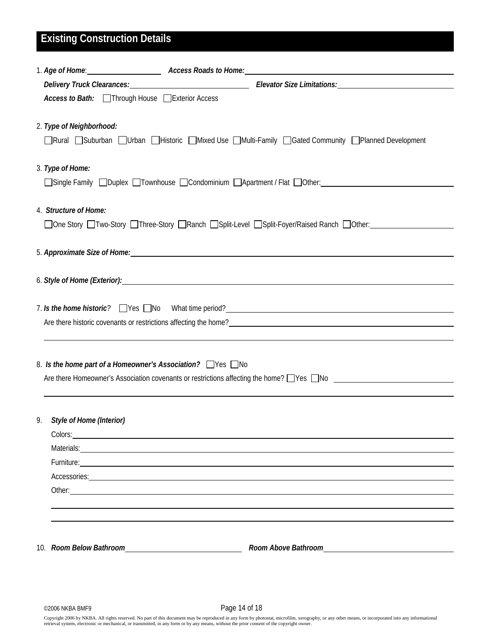# **Existing Construction Details**

|    | Delivery Truck Clearances: Manual Clearances: Elevator Size Limitations: Manual Clearances: Manual Clearances:                                                                                                                                                   |
|----|------------------------------------------------------------------------------------------------------------------------------------------------------------------------------------------------------------------------------------------------------------------|
|    | Access to Bath: Through House Exterior Access                                                                                                                                                                                                                    |
|    | 2. Type of Neighborhood:<br>□Rural □Suburban □Urban □Historic □Mixed Use □Multi-Family □Gated Community □Planned Development                                                                                                                                     |
|    | 3. Type of Home:<br>□Single Family □Duplex □Townhouse □Condominium □Apartment / Flat □Other:                                                                                                                                                                     |
|    | 4. Structure of Home:<br>□One Story □Two-Story □Three-Story □Ranch □Split-Level □Split-Foyer/Raised Ranch □Other: ________________                                                                                                                               |
|    |                                                                                                                                                                                                                                                                  |
|    |                                                                                                                                                                                                                                                                  |
|    | 7. Is the home historic? TYes No What time period?<br>The series of the home historic? Tyes TNo What time period?<br>The series of the manufacture of the home manufacture of the Microsoft What time period?                                                    |
|    | 8. Is the home part of a Homeowner's Association? Ves No<br>Are there Homeowner's Association covenants or restrictions affecting the home? $\Box$ Yes $\Box$ No                                                                                                 |
| 9. | Style of Home (Interior)<br>Colors: <u>Colors: Colors: Colors: Colors: Colors: Colors: Colors: Colors: Colors: Colors: Colors: Colors: Colors: Colors: Colors: Colors: Colors: Colors: Colors: Colors: Colors: Colors: Colors: Colors: Colors: Colors: Color</u> |
|    |                                                                                                                                                                                                                                                                  |
|    |                                                                                                                                                                                                                                                                  |
|    | Accessories: <u>contract and a series of the series of the series of the series of the series of the series of the series of the series of the series of the series of the series of the series of the series of the series of t</u>                             |
|    |                                                                                                                                                                                                                                                                  |
|    | Room Above Bathroom [ <i>compared to a local compared views</i> and a local contract of the Room of the Room of the Room                                                                                                                                         |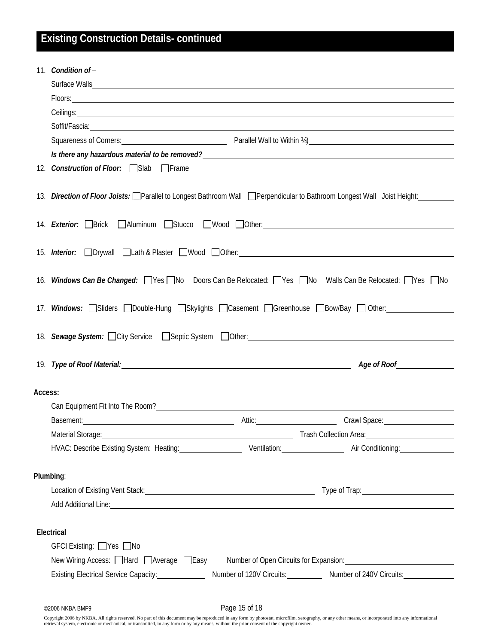|         | 11. Condition of -                                                                                                                                                                                                                                                 |
|---------|--------------------------------------------------------------------------------------------------------------------------------------------------------------------------------------------------------------------------------------------------------------------|
|         |                                                                                                                                                                                                                                                                    |
|         | Floors: <u>Containing</u>                                                                                                                                                                                                                                          |
|         |                                                                                                                                                                                                                                                                    |
|         | Soffit/Fascia: <u>Communication</u> Contract Contract Contract Contract Contract Contract Contract Contract Contract Contract Contract Contract Contract Contract Contract Contract Contract Contract Contract Contract Contract Co                                |
|         | Squareness of Corners: <u>Community Community Community Community Parallel Wall to Within 34)</u>                                                                                                                                                                  |
|         | Is there any hazardous material to be removed?<br><u>Let any</u> the same and the same and the same and the same and the same and the same and the same and the same and the same and the same and the same and the same and the same                              |
|         | 12. Construction of Floor: Slab Frame                                                                                                                                                                                                                              |
|         | 13. Direction of Floor Joists: IParallel to Longest Bathroom Wall Perpendicular to Bathroom Longest Wall Joist Height:                                                                                                                                             |
|         | 14. <i>Exterior:</i> Sprick Aluminum Stucco Wood Other:                                                                                                                                                                                                            |
|         |                                                                                                                                                                                                                                                                    |
|         | 16. Windows Can Be Changed: set Set Sho Doors Can Be Relocated: Set Sho Walls Can Be Relocated: Sho Sho                                                                                                                                                            |
|         | 17. Windows: Sliders Double-Hung Skylights Casement Greenhouse Bow/Bay Other:                                                                                                                                                                                      |
|         | 18. Sewage System: City Service Septic System Other: 18. Sewage System: City Service Company Septies System: 0                                                                                                                                                     |
|         | 19. Type of Roof Material: 19. Type of Roof Material:<br>Age of Roof <b>Age of Roof</b>                                                                                                                                                                            |
| Access: |                                                                                                                                                                                                                                                                    |
|         |                                                                                                                                                                                                                                                                    |
|         | Attic: Crawl Space: Crawlers 2014<br>Basement: 2000 Contract Contract Contract Contract Contract Contract Contract Contract Contract Contract Contract Contract Contract Contract Contract Contract Contract Contract Contract Contract Contract Contract Contract |
|         | Trash Collection Area:<br>Material Storage:<br><u> 1989 - Johann Barn, fransk politik (d. 1989)</u>                                                                                                                                                                |
|         | HVAC: Describe Existing System: Heating: Ventilation: Ventilation: Air Conditioning:                                                                                                                                                                               |
|         | Plumbing:                                                                                                                                                                                                                                                          |
|         | Location of Existing Vent Stack: Notice and State of Transaction of Existing Vent Stack: Notice and State of Transaction of Existing Vent Stack: Notice and State of Transaction of Existing Vent Stack:                                                           |
|         | Add Additional Line: No. 2014 19: 20:20 Add Additional Line: No. 20:20 Add Additional Line: No. 20:20                                                                                                                                                              |
|         | Electrical                                                                                                                                                                                                                                                         |
|         | GFCI Existing: Ves ONo                                                                                                                                                                                                                                             |
|         | New Wiring Access: □Hard □Average □Easy Number of Open Circuits for Expansion:                                                                                                                                                                                     |
|         | Existing Electrical Service Capacity: ________________<br>Number of 120V Circuits: Number of 240V Circuits:                                                                                                                                                        |
|         |                                                                                                                                                                                                                                                                    |

©2006 NKBA BMF9 Page 15 of 18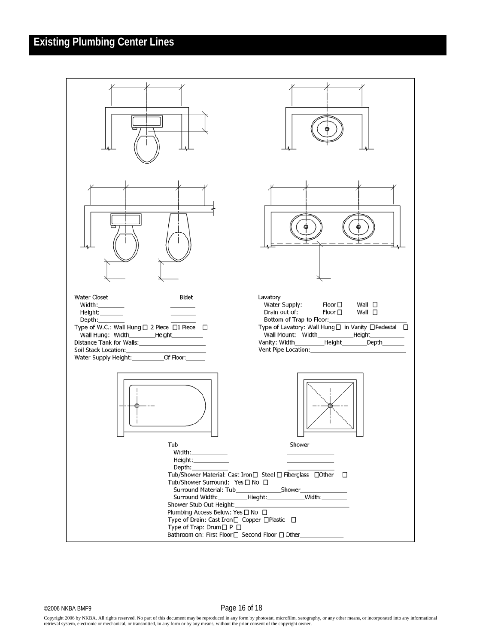## **Existing Plumbing Center Lines**



Copyright 2006 by NKBA. All rights reserved. No part of this document may be reproduced in any form by photostat, microfilm, xerography, or any other means, or incorporated into any informational retrieval system, electronic or mechanical, or transmitted, in any form or by any means, without the prior consent of the copyright owner.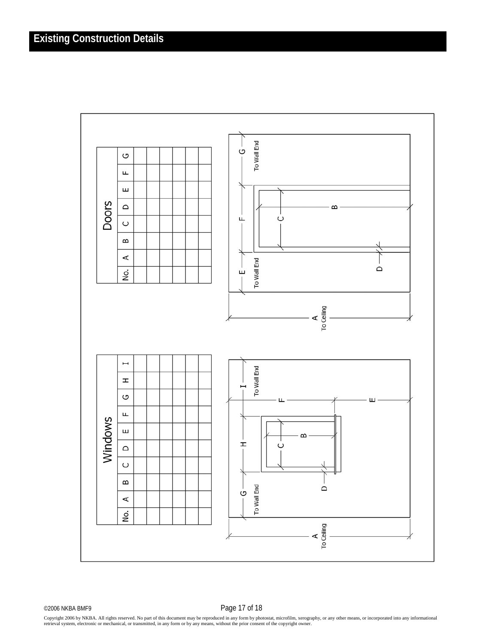

©2006 NKBA BMF9 Page 17 of 18